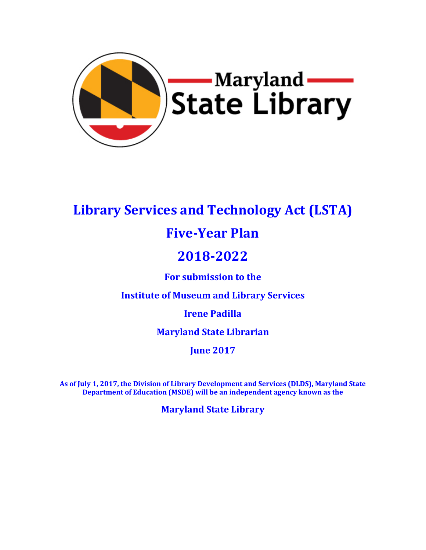

# **Library Services and Technology Act (LSTA)**

# **Five-Year Plan**

# **2018-2022**

**For submission to the**

**Institute of Museum and Library Services**

**Irene Padilla**

**Maryland State Librarian** 

**June 2017**

**As of July 1, 2017, the Division of Library Development and Services (DLDS), Maryland State Department of Education (MSDE) will be an independent agency known as the** 

**Maryland State Library**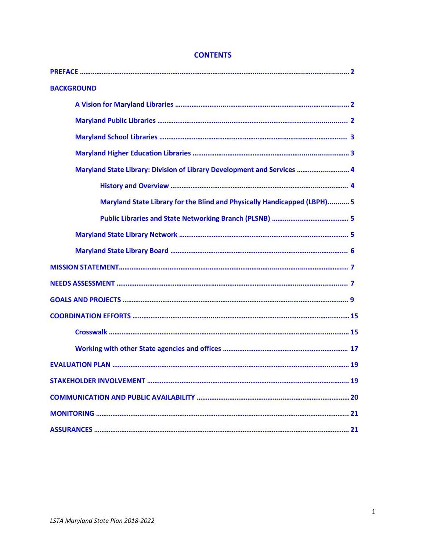| <b>BACKGROUND</b>                                                       |  |
|-------------------------------------------------------------------------|--|
|                                                                         |  |
|                                                                         |  |
|                                                                         |  |
|                                                                         |  |
| Maryland State Library: Division of Library Development and Services  4 |  |
|                                                                         |  |
| Maryland State Library for the Blind and Physically Handicapped (LBPH)5 |  |
|                                                                         |  |
|                                                                         |  |
|                                                                         |  |
|                                                                         |  |
|                                                                         |  |
|                                                                         |  |
|                                                                         |  |
|                                                                         |  |
|                                                                         |  |
|                                                                         |  |
| 19                                                                      |  |
|                                                                         |  |
|                                                                         |  |
|                                                                         |  |

# **CONTENTS**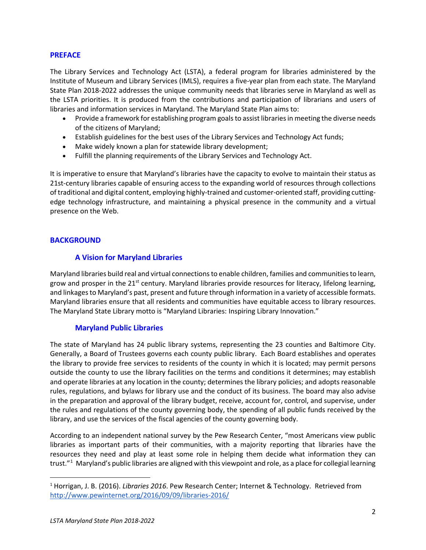## **PREFACE**

The Library Services and Technology Act (LSTA), a federal program for libraries administered by the Institute of Museum and Library Services (IMLS), requires a five-year plan from each state. The Maryland State Plan 2018-2022 addresses the unique community needs that libraries serve in Maryland as well as the LSTA priorities. It is produced from the contributions and participation of librarians and users of libraries and information services in Maryland. The Maryland State Plan aims to:

- Provide a framework for establishing program goals to assist libraries in meeting the diverse needs of the citizens of Maryland;
- Establish guidelines for the best uses of the Library Services and Technology Act funds;
- Make widely known a plan for statewide library development;
- Fulfill the planning requirements of the Library Services and Technology Act.

It is imperative to ensure that Maryland's libraries have the capacity to evolve to maintain their status as 21st-century libraries capable of ensuring access to the expanding world of resources through collections of traditional and digital content, employing highly-trained and customer-oriented staff, providing cuttingedge technology infrastructure, and maintaining a physical presence in the community and a virtual presence on the Web.

## **BACKGROUND**

## **A Vision for Maryland Libraries**

Maryland libraries build real and virtual connections to enable children, families and communities to learn, grow and prosper in the 21<sup>st</sup> century. Maryland libraries provide resources for literacy, lifelong learning, and linkages to Maryland's past, present and future through information in a variety of accessible formats. Maryland libraries ensure that all residents and communities have equitable access to library resources. The Maryland State Library motto is "Maryland Libraries: Inspiring Library Innovation."

## **Maryland Public Libraries**

The state of Maryland has 24 public library systems, representing the 23 counties and Baltimore City. Generally, a Board of Trustees governs each county public library. Each Board establishes and operates the library to provide free services to residents of the county in which it is located; may permit persons outside the county to use the library facilities on the terms and conditions it determines; may establish and operate libraries at any location in the county; determines the library policies; and adopts reasonable rules, regulations, and bylaws for library use and the conduct of its business. The board may also advise in the preparation and approval of the library budget, receive, account for, control, and supervise, under the rules and regulations of the county governing body, the spending of all public funds received by the library, and use the services of the fiscal agencies of the county governing body.

According to an independent national survey by the Pew Research Center, "most Americans view public libraries as important parts of their communities, with a majority reporting that libraries have the resources they need and play at least some role in helping them decide what information they can trust."[1](#page-2-0) Maryland's public libraries are aligned with this viewpoint and role, as a place for collegial learning

<span id="page-2-0"></span> <sup>1</sup> Horrigan, J. B. (2016). *Libraries 2016*. Pew Research Center; Internet & Technology. Retrieved from <http://www.pewinternet.org/2016/09/09/libraries-2016/>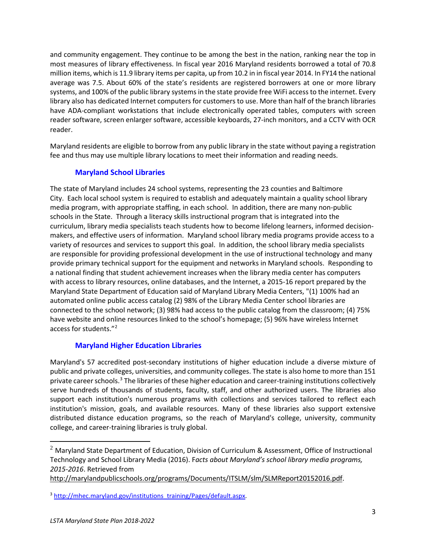and community engagement. They continue to be among the best in the nation, ranking near the top in most measures of library effectiveness. In fiscal year 2016 Maryland residents borrowed a total of 70.8 million items, which is 11.9 library items per capita, up from 10.2 in in fiscal year 2014. In FY14 the national average was 7.5. About 60% of the state's residents are registered borrowers at one or more library systems, and 100% of the public library systems in the state provide free WiFi access to the internet. Every library also has dedicated Internet computers for customers to use. More than half of the branch libraries have ADA-compliant workstations that include electronically operated tables, computers with screen reader software, screen enlarger software, accessible keyboards, 27-inch monitors, and a CCTV with OCR reader.

Maryland residents are eligible to borrow from any public library in the state without paying a registration fee and thus may use multiple library locations to meet their information and reading needs.

# **Maryland School Libraries**

The state of Maryland includes 24 school systems, representing the 23 counties and Baltimore City. Each local school system is required to establish and adequately maintain a quality school library media program, with appropriate staffing, in each school. In addition, there are many non-public schools in the State. Through a literacy skills instructional program that is integrated into the curriculum, library media specialists teach students how to become lifelong learners, informed decisionmakers, and effective users of information. Maryland school library media programs provide access to a variety of resources and services to support this goal. In addition, the school library media specialists are responsible for providing professional development in the use of instructional technology and many provide primary technical support for the equipment and networks in Maryland schools. Responding to a national finding that student achievement increases when the library media center has computers with access to library resources, online databases, and the Internet, a 2015-16 report prepared by the Maryland State Department of Education said of Maryland Library Media Centers, "(1) 100% had an automated online public access catalog (2) 98% of the Library Media Center school libraries are connected to the school network; (3) 98% had access to the public catalog from the classroom; (4) 75% have website and online resources linked to the school's homepage; (5) 96% have wireless Internet access for students."[2](#page-3-0)

## **Maryland Higher Education Libraries**

Maryland's 57 accredited post-secondary institutions of higher education include a diverse mixture of public and private colleges, universities, and community colleges. The state is also home to more than 151 private career schools.<sup>[3](#page-3-1)</sup> The libraries of these higher education and career-training institutions collectively serve hundreds of thousands of students, faculty, staff, and other authorized users. The libraries also support each institution's numerous programs with collections and services tailored to reflect each institution's mission, goals, and available resources. Many of these libraries also support extensive distributed distance education programs, so the reach of Maryland's college, university, community college, and career-training libraries is truly global.

l

<span id="page-3-0"></span> $2$  Maryland State Department of Education, Division of Curriculum & Assessment, Office of Instructional Technology and School Library Media (2016). F*acts about Maryland's school library media programs, 2015-2016*. Retrieved from

[http://marylandpublicschools.org/programs/Documents/ITSLM/slm/SLMReport20152016.pdf.](http://marylandpublicschools.org/programs/Documents/ITSLM/slm/SLMReport20152016.pdf)

<span id="page-3-1"></span><sup>&</sup>lt;sup>3</sup> [http://mhec.maryland.gov/institutions\\_training/Pages/default.aspx.](http://mhec.maryland.gov/institutions_training/Pages/default.aspx)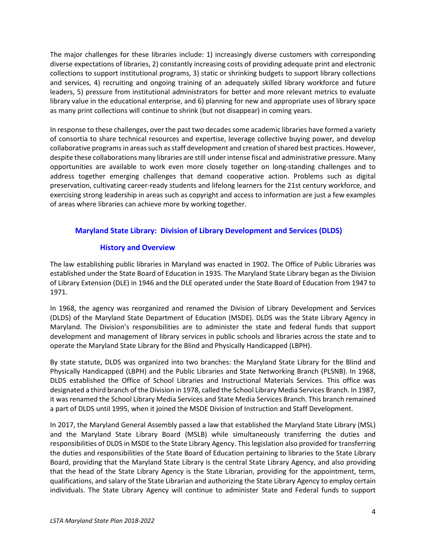The major challenges for these libraries include: 1) increasingly diverse customers with corresponding diverse expectations of libraries, 2) constantly increasing costs of providing adequate print and electronic collections to support institutional programs, 3) static or shrinking budgets to support library collections and services, 4) recruiting and ongoing training of an adequately skilled library workforce and future leaders, 5) pressure from institutional administrators for better and more relevant metrics to evaluate library value in the educational enterprise, and 6) planning for new and appropriate uses of library space as many print collections will continue to shrink (but not disappear) in coming years.

In response to these challenges, over the past two decades some academic libraries have formed a variety of consortia to share technical resources and expertise, leverage collective buying power, and develop collaborative programs in areas such as staff development and creation of shared best practices. However, despite these collaborations many libraries are still under intense fiscal and administrative pressure. Many opportunities are available to work even more closely together on long-standing challenges and to address together emerging challenges that demand cooperative action. Problems such as digital preservation, cultivating career-ready students and lifelong learners for the 21st century workforce, and exercising strong leadership in areas such as copyright and access to information are just a few examples of areas where libraries can achieve more by working together.

# **Maryland State Library: Division of Library Development and Services (DLDS)**

# **History and Overview**

The law establishing public libraries in Maryland was enacted in 1902. The Office of Public Libraries was established under the State Board of Education in 1935. The Maryland State Library began as the Division of Library Extension (DLE) in 1946 and the DLE operated under the State Board of Education from 1947 to 1971.

In 1968, the agency was reorganized and renamed the Division of Library Development and Services (DLDS) of the Maryland State Department of Education (MSDE). DLDS was the State Library Agency in Maryland. The Division's responsibilities are to administer the state and federal funds that support development and management of library services in public schools and libraries across the state and to operate the Maryland State Library for the Blind and Physically Handicapped (LBPH).

By state statute, DLDS was organized into two branches: the Maryland State Library for the Blind and Physically Handicapped (LBPH) and the Public Libraries and State Networking Branch (PLSNB). In 1968, DLDS established the Office of School Libraries and Instructional Materials Services. This office was designated a third branch of the Division in 1978, called the School Library Media Services Branch. In 1987, it was renamed the School Library Media Services and State Media Services Branch. This branch remained a part of DLDS until 1995, when it joined the MSDE Division of Instruction and Staff Development.

In 2017, the Maryland General Assembly passed a law that established the Maryland State Library (MSL) and the Maryland State Library Board (MSLB) while simultaneously transferring the duties and responsibilities of DLDS in MSDE to the State Library Agency. This legislation also provided for transferring the duties and responsibilities of the State Board of Education pertaining to libraries to the State Library Board, providing that the Maryland State Library is the central State Library Agency, and also providing that the head of the State Library Agency is the State Librarian, providing for the appointment, term, qualifications, and salary of the State Librarian and authorizing the State Library Agency to employ certain individuals. The State Library Agency will continue to administer State and Federal funds to support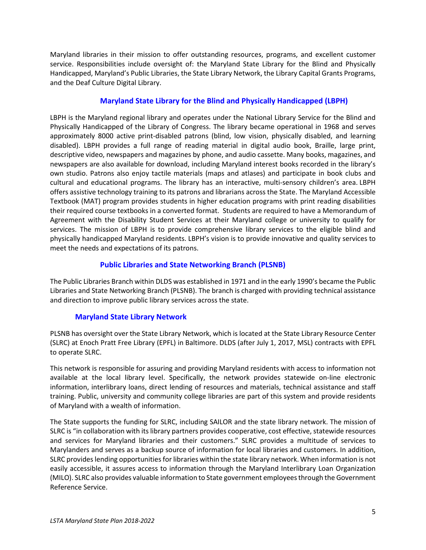Maryland libraries in their mission to offer outstanding resources, programs, and excellent customer service. Responsibilities include oversight of: the Maryland State Library for the Blind and Physically Handicapped, Maryland's Public Libraries, the State Library Network, the Library Capital Grants Programs, and the Deaf Culture Digital Library.

## **Maryland State Library for the Blind and Physically Handicapped (LBPH)**

LBPH is the Maryland regional library and operates under the National Library Service for the Blind and Physically Handicapped of the Library of Congress. The library became operational in 1968 and serves approximately 8000 active print-disabled patrons (blind, low vision, physically disabled, and learning disabled). LBPH provides a full range of reading material in digital audio book, Braille, large print, descriptive video, newspapers and magazines by phone, and audio cassette. Many books, magazines, and newspapers are also available for download, including Maryland interest books recorded in the library's own studio. Patrons also enjoy tactile materials (maps and atlases) and participate in book clubs and cultural and educational programs. The library has an interactive, multi-sensory children's area. LBPH offers assistive technology training to its patrons and librarians across the State. The Maryland Accessible Textbook (MAT) program provides students in higher education programs with print reading disabilities their required course textbooks in a converted format. Students are required to have a Memorandum of Agreement with the Disability Student Services at their Maryland college or university to qualify for services. The mission of LBPH is to provide comprehensive library services to the eligible blind and physically handicapped Maryland residents. LBPH's vision is to provide innovative and quality services to meet the needs and expectations of its patrons.

## **Public Libraries and State Networking Branch (PLSNB)**

The Public Libraries Branch within DLDS was established in 1971 and in the early 1990's became the Public Libraries and State Networking Branch (PLSNB). The branch is charged with providing technical assistance and direction to improve public library services across the state.

## **Maryland State Library Network**

PLSNB has oversight over the State Library Network, which is located at the State Library Resource Center (SLRC) at Enoch Pratt Free Library (EPFL) in Baltimore. DLDS (after July 1, 2017, MSL) contracts with EPFL to operate SLRC.

This network is responsible for assuring and providing Maryland residents with access to information not available at the local library level. Specifically, the network provides statewide on-line electronic information, interlibrary loans, direct lending of resources and materials, technical assistance and staff training. Public, university and community college libraries are part of this system and provide residents of Maryland with a wealth of information.

The State supports the funding for SLRC, including SAILOR and the state library network. The mission of SLRC is "in collaboration with its library partners provides cooperative, cost effective, statewide resources and services for Maryland libraries and their customers." SLRC provides a multitude of services to Marylanders and serves as a backup source of information for local libraries and customers. In addition, SLRC provides lending opportunities for libraries within the state library network. When information is not easily accessible, it assures access to information through the Maryland Interlibrary Loan Organization (MILO). SLRC also provides valuable information to State government employees through the Government Reference Service.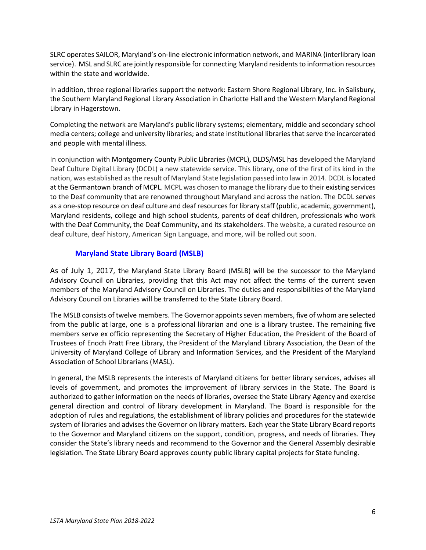SLRC operates SAILOR, Maryland's on-line electronic information network, and MARINA (interlibrary loan service). MSL and SLRC are jointly responsible for connecting Maryland residents to information resources within the state and worldwide.

In addition, three regional libraries support the network: Eastern Shore Regional Library, Inc. in Salisbury, the Southern Maryland Regional Library Association in Charlotte Hall and the Western Maryland Regional Library in Hagerstown.

Completing the network are Maryland's public library systems; elementary, middle and secondary school media centers; college and university libraries; and state institutional libraries that serve the incarcerated and people with mental illness.

In conjunction with Montgomery County Public Libraries (MCPL), DLDS/MSL has developed the Maryland Deaf Culture Digital Library (DCDL) a new statewide service. This library, one of the first of its kind in the nation, was established as the result of Maryland State legislation passed into law in 2014. DCDL is located at the Germantown branch of MCPL. MCPL was chosen to manage the library due to their existing services to the Deaf community that are renowned throughout Maryland and across the nation. The DCDL serves as a one-stop resource on deaf culture and deaf resources for library staff (public, academic, government), Maryland residents, college and high school students, parents of deaf children, professionals who work with the Deaf Community, the Deaf Community, and its stakeholders. The website, a curated resource on deaf culture, deaf history, American Sign Language, and more, will be rolled out soon.

## **Maryland State Library Board (MSLB)**

As of July 1, 2017, the Maryland State Library Board (MSLB) will be the successor to the Maryland Advisory Council on Libraries, providing that this Act may not affect the terms of the current seven members of the Maryland Advisory Council on Libraries. The duties and responsibilities of the Maryland Advisory Council on Libraries will be transferred to the State Library Board.

The MSLB consists of twelve members. The Governor appoints seven members, five of whom are selected from the public at large, one is a professional librarian and one is a library trustee. The remaining five members serve ex officio representing the Secretary of Higher Education, the President of the Board of Trustees of Enoch Pratt Free Library, the President of the Maryland Library Association, the Dean of the University of Maryland College of Library and Information Services, and the President of the Maryland Association of School Librarians (MASL).

In general, the MSLB represents the interests of Maryland citizens for better library services, advises all levels of government, and promotes the improvement of library services in the State. The Board is authorized to gather information on the needs of libraries, oversee the State Library Agency and exercise general direction and control of library development in Maryland. The Board is responsible for the adoption of rules and regulations, the establishment of library policies and procedures for the statewide system of libraries and advises the Governor on library matters. Each year the State Library Board reports to the Governor and Maryland citizens on the support, condition, progress, and needs of libraries. They consider the State's library needs and recommend to the Governor and the General Assembly desirable legislation. The State Library Board approves county public library capital projects for State funding.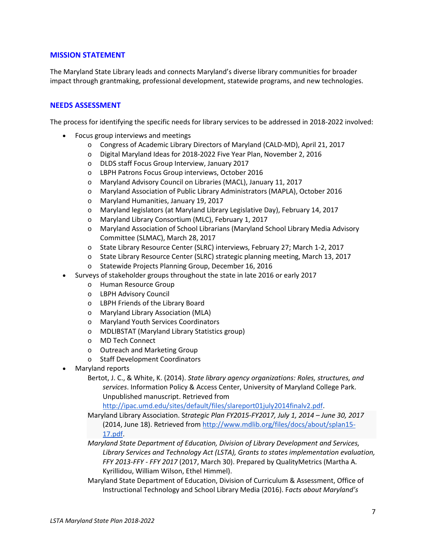## **MISSION STATEMENT**

The Maryland State Library leads and connects Maryland's diverse library communities for broader impact through grantmaking, professional development, statewide programs, and new technologies.

## **NEEDS ASSESSMENT**

The process for identifying the specific needs for library services to be addressed in 2018-2022 involved:

- Focus group interviews and meetings
	- o Congress of Academic Library Directors of Maryland (CALD-MD), April 21, 2017
	- o Digital Maryland Ideas for 2018-2022 Five Year Plan, November 2, 2016
	- o DLDS staff Focus Group Interview, January 2017
	- o LBPH Patrons Focus Group interviews, October 2016
	- o Maryland Advisory Council on Libraries (MACL), January 11, 2017
	- o Maryland Association of Public Library Administrators (MAPLA), October 2016
	- o Maryland Humanities, January 19, 2017
	- o Maryland legislators (at Maryland Library Legislative Day), February 14, 2017
	- o Maryland Library Consortium (MLC), February 1, 2017
	- o Maryland Association of School Librarians (Maryland School Library Media Advisory Committee (SLMAC), March 28, 2017
	- o State Library Resource Center (SLRC) interviews, February 27; March 1-2, 2017
	- o State Library Resource Center (SLRC) strategic planning meeting, March 13, 2017
	- o Statewide Projects Planning Group, December 16, 2016
- Surveys of stakeholder groups throughout the state in late 2016 or early 2017
	- o Human Resource Group
	- o LBPH Advisory Council
	- o LBPH Friends of the Library Board
	- o Maryland Library Association (MLA)
	- o Maryland Youth Services Coordinators
	- o MDLIBSTAT (Maryland Library Statistics group)
	- o MD Tech Connect
	- o Outreach and Marketing Group
	- o Staff Development Coordinators
- Maryland reports
	- Bertot, J. C., & White, K. (2014). *State library agency organizations: Roles, structures, and services*. Information Policy & Access Center, University of Maryland College Park. Unpublished manuscript. Retrieved from

[http://ipac.umd.edu/sites/default/files/slareport01july2014finalv2.pdf.](http://ipac.umd.edu/sites/default/files/slareport01july2014finalv2.pdf)

Maryland Library Association. S*trategic Plan FY2015-FY2017, July 1, 2014 – June 30, 2017* (2014, June 18). Retrieved from [http://www.mdlib.org/files/docs/about/splan15-](http://www.mdlib.org/files/docs/about/splan15-17.pdf) [17.pdf.](http://www.mdlib.org/files/docs/about/splan15-17.pdf)

*Maryland State Department of Education, Division of Library Development and Services, Library Services and Technology Act (LSTA), Grants to states implementation evaluation, FFY 2013-FFY - FFY 2017* (2017, March 30). Prepared by QualityMetrics (Martha A. Kyrillidou, William Wilson, Ethel Himmel).

Maryland State Department of Education, Division of Curriculum & Assessment, Office of Instructional Technology and School Library Media (2016). F*acts about Maryland's*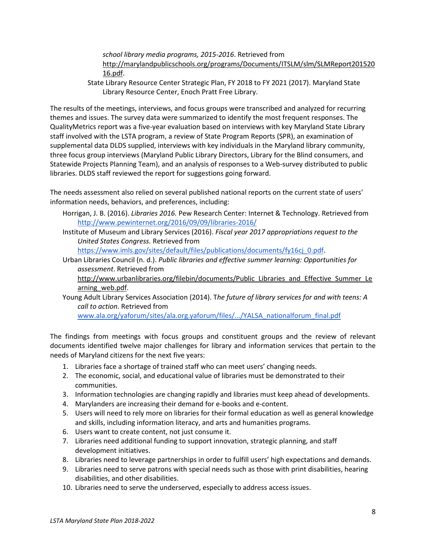*school library media programs, 2015-2016*. Retrieved from [http://marylandpublicschools.org/programs/Documents/ITSLM/slm/SLMReport201520](http://marylandpublicschools.org/programs/Documents/ITSLM/slm/SLMReport20152016.pdf) [16.pdf.](http://marylandpublicschools.org/programs/Documents/ITSLM/slm/SLMReport20152016.pdf)

State Library Resource Center Strategic Plan, FY 2018 to FY 2021 (2017). Maryland State Library Resource Center, Enoch Pratt Free Library.

The results of the meetings, interviews, and focus groups were transcribed and analyzed for recurring themes and issues. The survey data were summarized to identify the most frequent responses. The QualityMetrics report was a five-year evaluation based on interviews with key Maryland State Library staff involved with the LSTA program, a review of State Program Reports (SPR), an examination of supplemental data DLDS supplied, interviews with key individuals in the Maryland library community, three focus group interviews (Maryland Public Library Directors, Library for the Blind consumers, and Statewide Projects Planning Team), and an analysis of responses to a Web-survey distributed to public libraries. DLDS staff reviewed the report for suggestions going forward.

The needs assessment also relied on several published national reports on the current state of users' information needs, behaviors, and preferences, including:

- Horrigan, J. B. (2016). *Libraries 2016.* Pew Research Center: Internet & Technology. Retrieved from <http://www.pewinternet.org/2016/09/09/libraries-2016/>
- Institute of Museum and Library Services (2016). *Fiscal year 2017 appropriations request to the United States Congress.* Retrieved from

[https://www.imls.gov/sites/default/files/publications/documents/fy16cj\\_0.pdf.](https://www.imls.gov/sites/default/files/publications/documents/fy16cj_0.pdf)

Urban Libraries Council (n. d.). *Public libraries and effective summer learning: Opportunities for assessment*. Retrieved from

[http://www.urbanlibraries.org/filebin/documents/Public\\_Libraries\\_and\\_Effective\\_Summer\\_Le](http://www.urbanlibraries.org/filebin/documents/Public_Libraries_and_Effective_Summer_Learning_web.pdf) [arning\\_web.pdf.](http://www.urbanlibraries.org/filebin/documents/Public_Libraries_and_Effective_Summer_Learning_web.pdf)

Young Adult Library Services Association (2014). T*he future of library services for and with teens: A call to action*. Retrieved from

[www.ala.org/yaforum/sites/ala.org.yaforum/files/.../YALSA\\_nationalforum\\_final.pdf](http://www.ala.org/yaforum/sites/ala.org.yaforum/files/.../YALSA_nationalforum_final.pdf)

The findings from meetings with focus groups and constituent groups and the review of relevant documents identified twelve major challenges for library and information services that pertain to the needs of Maryland citizens for the next five years:

- 1. Libraries face a shortage of trained staff who can meet users' changing needs.
- 2. The economic, social, and educational value of libraries must be demonstrated to their communities.
- 3. Information technologies are changing rapidly and libraries must keep ahead of developments.
- 4. Marylanders are increasing their demand for e-books and e-content.
- 5. Users will need to rely more on libraries for their formal education as well as general knowledge and skills, including information literacy, and arts and humanities programs.
- 6. Users want to create content, not just consume it.
- 7. Libraries need additional funding to support innovation, strategic planning, and staff development initiatives.
- 8. Libraries need to leverage partnerships in order to fulfill users' high expectations and demands.
- 9. Libraries need to serve patrons with special needs such as those with print disabilities, hearing disabilities, and other disabilities.
- 10. Libraries need to serve the underserved, especially to address access issues.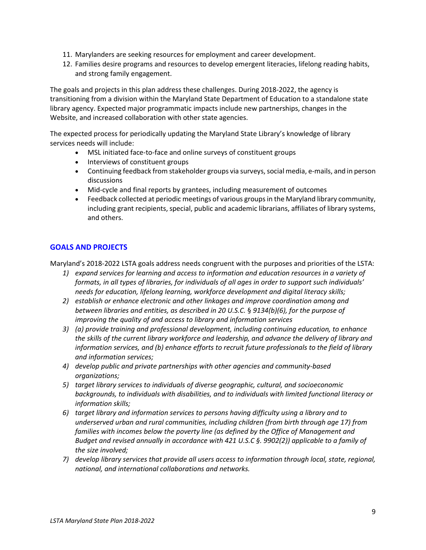- 11. Marylanders are seeking resources for employment and career development.
- 12. Families desire programs and resources to develop emergent literacies, lifelong reading habits, and strong family engagement.

The goals and projects in this plan address these challenges. During 2018-2022, the agency is transitioning from a division within the Maryland State Department of Education to a standalone state library agency. Expected major programmatic impacts include new partnerships, changes in the Website, and increased collaboration with other state agencies.

The expected process for periodically updating the Maryland State Library's knowledge of library services needs will include:

- MSL initiated face-to-face and online surveys of constituent groups
- Interviews of constituent groups
- Continuing feedback from stakeholder groups via surveys, social media, e-mails, and in person discussions
- Mid-cycle and final reports by grantees, including measurement of outcomes
- Feedback collected at periodic meetings of various groups in the Maryland library community, including grant recipients, special, public and academic librarians, affiliates of library systems, and others.

## **GOALS AND PROJECTS**

Maryland's 2018-2022 LSTA goals address needs congruent with the purposes and priorities of the LSTA:

- *1) expand services for learning and access to information and education resources in a variety of formats, in all types of libraries, for individuals of all ages in order to support such individuals' needs for education, lifelong learning, workforce development and digital literacy skills;*
- *2) establish or enhance electronic and other linkages and improve coordination among and between libraries and entities, as described in 20 U.S.C.* § *9134(b)(6), for the purpose of improving the quality of and access to library and information services*
- *3) (a) provide training and professional development, including continuing education, to enhance the skills of the current library workforce and leadership, and advance the delivery of library and information services, and (b) enhance efforts to recruit future professionals to the field of library and information services;*
- *4) develop public and private partnerships with other agencies and community-based organizations;*
- *5) target library services to individuals of diverse geographic, cultural, and socioeconomic backgrounds, to individuals with disabilities, and to individuals with limited functional literacy or information skills;*
- *6) target library and information services to persons having difficulty using a library and to underserved urban and rural communities, including children (from birth through age 17) from families with incomes below the poverty line (as defined by the Office of Management and Budget and revised annually in accordance with 421 U.S.C §. 9902(2)) applicable to a family of the size involved;*
- *7) develop library services that provide all users access to information through local, state, regional, national, and international collaborations and networks.*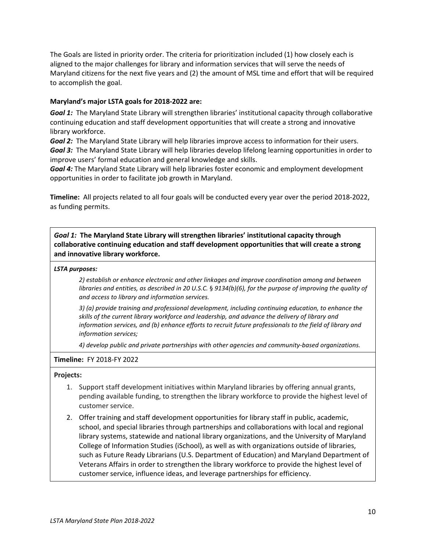The Goals are listed in priority order. The criteria for prioritization included (1) how closely each is aligned to the major challenges for library and information services that will serve the needs of Maryland citizens for the next five years and (2) the amount of MSL time and effort that will be required to accomplish the goal.

#### **Maryland's major LSTA goals for 2018-2022 are:**

*Goal 1:* The Maryland State Library will strengthen libraries' institutional capacity through collaborative continuing education and staff development opportunities that will create a strong and innovative library workforce.

*Goal 2:* The Maryland State Library will help libraries improve access to information for their users. *Goal 3:* The Maryland State Library will help libraries develop lifelong learning opportunities in order to improve users' formal education and general knowledge and skills.

*Goal 4:* The Maryland State Library will help libraries foster economic and employment development opportunities in order to facilitate job growth in Maryland.

**Timeline:** All projects related to all four goals will be conducted every year over the period 2018-2022, as funding permits.

*Goal 1:* **The Maryland State Library will strengthen libraries' institutional capacity through collaborative continuing education and staff development opportunities that will create a strong and innovative library workforce.**

#### *LSTA purposes:*

*2) establish or enhance electronic and other linkages and improve coordination among and between libraries and entities, as described in 20 U.S.C.* § *9134(b)(6), for the purpose of improving the quality of and access to library and information services.*

*3) (a) provide training and professional development, including continuing education, to enhance the skills of the current library workforce and leadership, and advance the delivery of library and information services, and (b) enhance efforts to recruit future professionals to the field of library and information services;*

*4) develop public and private partnerships with other agencies and community-based organizations.*

#### **Timeline:** FY 2018-FY 2022

- 1. Support staff development initiatives within Maryland libraries by offering annual grants, pending available funding, to strengthen the library workforce to provide the highest level of customer service.
- 2. Offer training and staff development opportunities for library staff in public, academic, school, and special libraries through partnerships and collaborations with local and regional library systems, statewide and national library organizations, and the University of Maryland College of Information Studies (iSchool), as well as with organizations outside of libraries, such as Future Ready Librarians (U.S. Department of Education) and Maryland Department of Veterans Affairs in order to strengthen the library workforce to provide the highest level of customer service, influence ideas, and leverage partnerships for efficiency.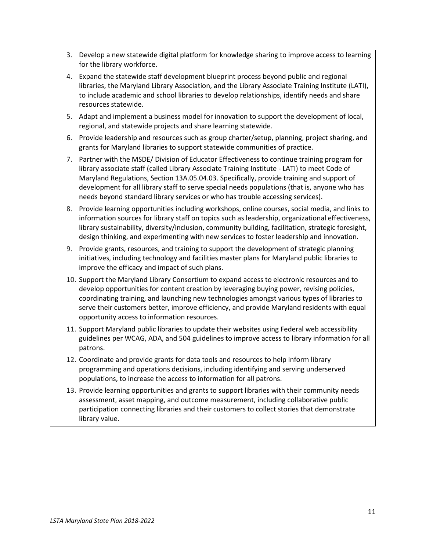- 3. Develop a new statewide digital platform for knowledge sharing to improve access to learning for the library workforce.
- 4. Expand the statewide staff development blueprint process beyond public and regional libraries, the Maryland Library Association, and the Library Associate Training Institute (LATI), to include academic and school libraries to develop relationships, identify needs and share resources statewide.
- 5. Adapt and implement a business model for innovation to support the development of local, regional, and statewide projects and share learning statewide.
- 6. Provide leadership and resources such as group charter/setup, planning, project sharing, and grants for Maryland libraries to support statewide communities of practice.
- 7. Partner with the MSDE/ Division of Educator Effectiveness to continue training program for library associate staff (called Library Associate Training Institute - LATI) to meet Code of Maryland Regulations, Section 13A.05.04.03. Specifically, provide training and support of development for all library staff to serve special needs populations (that is, anyone who has needs beyond standard library services or who has trouble accessing services).
- 8. Provide learning opportunities including workshops, online courses, social media, and links to information sources for library staff on topics such as leadership, organizational effectiveness, library sustainability, diversity/inclusion, community building, facilitation, strategic foresight, design thinking, and experimenting with new services to foster leadership and innovation.
- 9. Provide grants, resources, and training to support the development of strategic planning initiatives, including technology and facilities master plans for Maryland public libraries to improve the efficacy and impact of such plans.
- 10. Support the Maryland Library Consortium to expand access to electronic resources and to develop opportunities for content creation by leveraging buying power, revising policies, coordinating training, and launching new technologies amongst various types of libraries to serve their customers better, improve efficiency, and provide Maryland residents with equal opportunity access to information resources.
- 11. Support Maryland public libraries to update their websites using Federal web accessibility guidelines per WCAG, ADA, and 504 guidelines to improve access to library information for all patrons.
- 12. Coordinate and provide grants for data tools and resources to help inform library programming and operations decisions, including identifying and serving underserved populations, to increase the access to information for all patrons.
- 13. Provide learning opportunities and grants to support libraries with their community needs assessment, asset mapping, and outcome measurement, including collaborative public participation connecting libraries and their customers to collect stories that demonstrate library value.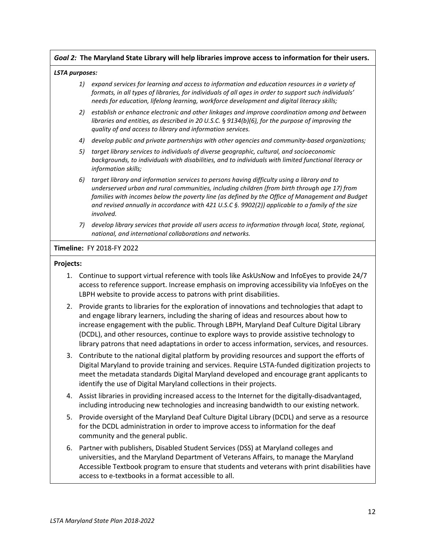### *Goal 2:* **The Maryland State Library will help libraries improve access to information for their users.**

#### *LSTA purposes:*

- *1) expand services for learning and access to information and education resources in a variety of formats, in all types of libraries, for individuals of all ages in order to support such individuals' needs for education, lifelong learning, workforce development and digital literacy skills;*
- *2) establish or enhance electronic and other linkages and improve coordination among and between libraries and entities, as described in 20 U.S.C.* § *9134(b)(6), for the purpose of improving the quality of and access to library and information services.*
- *4) develop public and private partnerships with other agencies and community-based organizations;*
- *5) target library services to individuals of diverse geographic, cultural, and socioeconomic backgrounds, to individuals with disabilities, and to individuals with limited functional literacy or information skills;*
- *6) target library and information services to persons having difficulty using a library and to underserved urban and rural communities, including children (from birth through age 17) from families with incomes below the poverty line (as defined by the Office of Management and Budget and revised annually in accordance with 421 U.S.C §. 9902(2)) applicable to a family of the size involved.*
- *7) develop library services that provide all users access to information through local, State, regional, national, and international collaborations and networks.*

#### **Timeline:** FY 2018-FY 2022

- 1. Continue to support virtual reference with tools like AskUsNow and InfoEyes to provide 24/7 access to reference support. Increase emphasis on improving accessibility via InfoEyes on the LBPH website to provide access to patrons with print disabilities.
- 2. Provide grants to libraries for the exploration of innovations and technologies that adapt to and engage library learners, including the sharing of ideas and resources about how to increase engagement with the public. Through LBPH, Maryland Deaf Culture Digital Library (DCDL), and other resources, continue to explore ways to provide assistive technology to library patrons that need adaptations in order to access information, services, and resources.
- 3. Contribute to the national digital platform by providing resources and support the efforts of Digital Maryland to provide training and services. Require LSTA-funded digitization projects to meet the metadata standards Digital Maryland developed and encourage grant applicants to identify the use of Digital Maryland collections in their projects.
- 4. Assist libraries in providing increased access to the Internet for the digitally-disadvantaged, including introducing new technologies and increasing bandwidth to our existing network.
- 5. Provide oversight of the Maryland Deaf Culture Digital Library (DCDL) and serve as a resource for the DCDL administration in order to improve access to information for the deaf community and the general public.
- 6. Partner with publishers, Disabled Student Services (DSS) at Maryland colleges and universities, and the Maryland Department of Veterans Affairs, to manage the Maryland Accessible Textbook program to ensure that students and veterans with print disabilities have access to e-textbooks in a format accessible to all.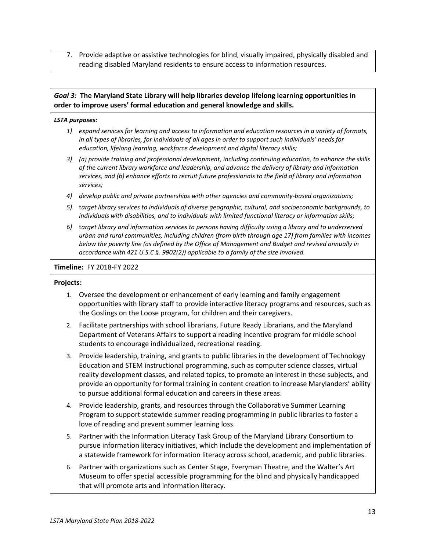7. Provide adaptive or assistive technologies for blind, visually impaired, physically disabled and reading disabled Maryland residents to ensure access to information resources.

## *Goal 3:* **The Maryland State Library will help libraries develop lifelong learning opportunities in order to improve users' formal education and general knowledge and skills.**

#### *LSTA purposes:*

- *1) expand services for learning and access to information and education resources in a variety of formats, in all types of libraries, for individuals of all ages in order to support such individuals' needs for education, lifelong learning, workforce development and digital literacy skills;*
- *3) (a) provide training and professional development, including continuing education, to enhance the skills of the current library workforce and leadership, and advance the delivery of library and information services, and (b) enhance efforts to recruit future professionals to the field of library and information services;*
- *4) develop public and private partnerships with other agencies and community-based organizations;*
- *5)* t*arget library services to individuals of diverse geographic, cultural, and socioeconomic backgrounds, to individuals with disabilities, and to individuals with limited functional literacy or information skills;*
- *6)* t*arget library and information services to persons having difficulty using a library and to underserved urban and rural communities, including children (from birth through age 17) from families with incomes below the poverty line (as defined by the Office of Management and Budget and revised annually in accordance with 421 U.S.C §. 9902(2)) applicable to a family of the size involved.*

#### **Timeline:** FY 2018-FY 2022

- 1. Oversee the development or enhancement of early learning and family engagement opportunities with library staff to provide interactive literacy programs and resources, such as the Goslings on the Loose program, for children and their caregivers.
- 2. Facilitate partnerships with school librarians, Future Ready Librarians, and the Maryland Department of Veterans Affairs to support a reading incentive program for middle school students to encourage individualized, recreational reading.
- 3. Provide leadership, training, and grants to public libraries in the development of Technology Education and STEM instructional programming, such as computer science classes, virtual reality development classes, and related topics, to promote an interest in these subjects, and provide an opportunity for formal training in content creation to increase Marylanders' ability to pursue additional formal education and careers in these areas.
- 4. Provide leadership, grants, and resources through the Collaborative Summer Learning Program to support statewide summer reading programming in public libraries to foster a love of reading and prevent summer learning loss.
- 5. Partner with the Information Literacy Task Group of the Maryland Library Consortium to pursue information literacy initiatives, which include the development and implementation of a statewide framework for information literacy across school, academic, and public libraries.
- 6. Partner with organizations such as Center Stage, Everyman Theatre, and the Walter's Art Museum to offer special accessible programming for the blind and physically handicapped that will promote arts and information literacy.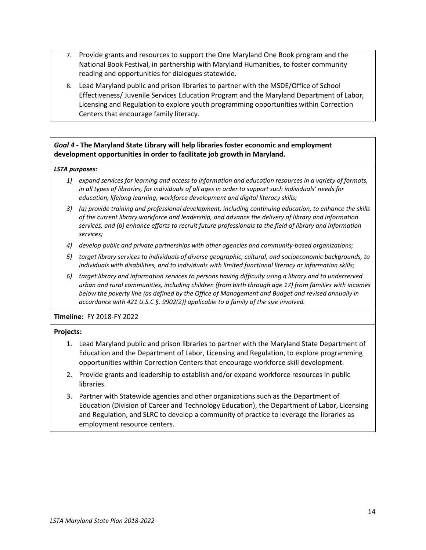- 7. Provide grants and resources to support the One Maryland One Book program and the National Book Festival, in partnership with Maryland Humanities, to foster community reading and opportunities for dialogues statewide.
- 8. Lead Maryland public and prison libraries to partner with the MSDE/Office of School Effectiveness/ Juvenile Services Education Program and the Maryland Department of Labor, Licensing and Regulation to explore youth programming opportunities within Correction Centers that encourage family literacy.

## *Goal 4* **- The Maryland State Library will help libraries foster economic and employment development opportunities in order to facilitate job growth in Maryland.**

## *LSTA purposes:*

- *1) expand services for learning and access to information and education resources in a variety of formats, in all types of libraries, for individuals of all ages in order to support such individuals' needs for education, lifelong learning, workforce development and digital literacy skills;*
- *3) (a) provide training and professional development, including continuing education, to enhance the skills of the current library workforce and leadership, and advance the delivery of library and information services, and (b) enhance efforts to recruit future professionals to the field of library and information services;*
- *4) develop public and private partnerships with other agencies and community-based organizations;*
- *5) target library services to individuals of diverse geographic, cultural, and socioeconomic backgrounds, to individuals with disabilities, and to individuals with limited functional literacy or information skills;*
- *6) target library and information services to persons having difficulty using a library and to underserved urban and rural communities, including children (from birth through age 17) from families with incomes below the poverty line (as defined by the Office of Management and Budget and revised annually in accordance with 421 U.S.C §. 9902(2)) applicable to a family of the size involved.*

## **Timeline:** FY 2018-FY 2022

- 1. Lead Maryland public and prison libraries to partner with the Maryland State Department of Education and the Department of Labor, Licensing and Regulation, to explore programming opportunities within Correction Centers that encourage workforce skill development.
- 2. Provide grants and leadership to establish and/or expand workforce resources in public libraries.
- 3. Partner with Statewide agencies and other organizations such as the Department of Education (Division of Career and Technology Education), the Department of Labor, Licensing and Regulation, and SLRC to develop a community of practice to leverage the libraries as employment resource centers.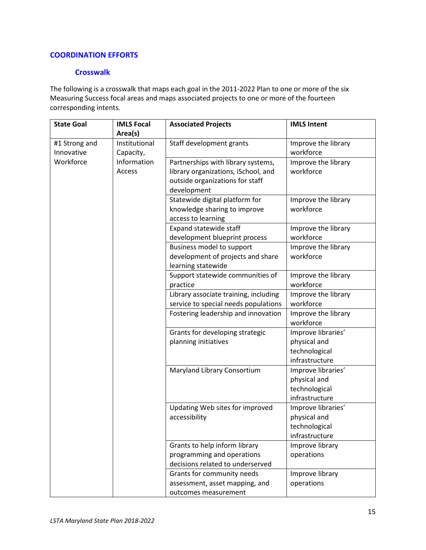## **COORDINATION EFFORTS**

## **Crosswalk**

The following is a crosswalk that maps each goal in the 2011-2022 Plan to one or more of the six Measuring Success focal areas and maps associated projects to one or more of the fourteen corresponding intents.

| <b>State Goal</b> | <b>IMLS Focal</b> | <b>Associated Projects</b>            | <b>IMLS Intent</b>  |
|-------------------|-------------------|---------------------------------------|---------------------|
|                   | Area(s)           |                                       |                     |
| #1 Strong and     | Institutional     | Staff development grants              | Improve the library |
| Innovative        | Capacity,         |                                       | workforce           |
| Workforce         | Information       | Partnerships with library systems,    | Improve the library |
|                   | Access            | library organizations, iSchool, and   | workforce           |
|                   |                   | outside organizations for staff       |                     |
|                   |                   | development                           |                     |
|                   |                   | Statewide digital platform for        | Improve the library |
|                   |                   | knowledge sharing to improve          | workforce           |
|                   |                   | access to learning                    |                     |
|                   |                   | Expand statewide staff                | Improve the library |
|                   |                   | development blueprint process         | workforce           |
|                   |                   | Business model to support             | Improve the library |
|                   |                   | development of projects and share     | workforce           |
|                   |                   | learning statewide                    |                     |
|                   |                   | Support statewide communities of      | Improve the library |
|                   |                   | practice                              | workforce           |
|                   |                   | Library associate training, including | Improve the library |
|                   |                   | service to special needs populations  | workforce           |
|                   |                   | Fostering leadership and innovation   | Improve the library |
|                   |                   |                                       | workforce           |
|                   |                   | Grants for developing strategic       | Improve libraries'  |
|                   |                   | planning initiatives                  | physical and        |
|                   |                   |                                       | technological       |
|                   |                   |                                       | infrastructure      |
|                   |                   | Maryland Library Consortium           | Improve libraries'  |
|                   |                   |                                       | physical and        |
|                   |                   |                                       | technological       |
|                   |                   |                                       | infrastructure      |
|                   |                   | Updating Web sites for improved       | Improve libraries'  |
|                   |                   | accessibility                         | physical and        |
|                   |                   |                                       | technological       |
|                   |                   |                                       | infrastructure      |
|                   |                   | Grants to help inform library         | Improve library     |
|                   |                   | programming and operations            | operations          |
|                   |                   | decisions related to underserved      |                     |
|                   |                   | Grants for community needs            | Improve library     |
|                   |                   | assessment, asset mapping, and        | operations          |
|                   |                   | outcomes measurement                  |                     |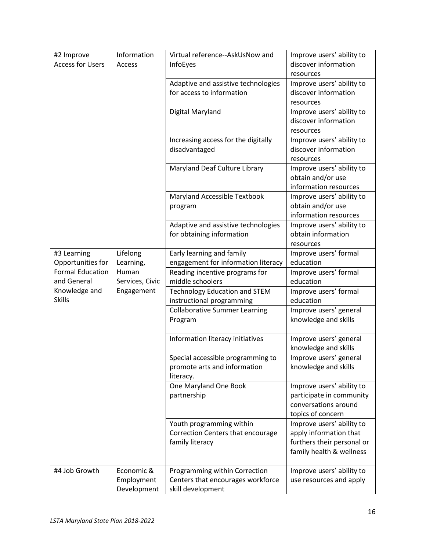| #2 Improve              | Information     | Virtual reference--AskUsNow and      | Improve users' ability to                             |
|-------------------------|-----------------|--------------------------------------|-------------------------------------------------------|
| <b>Access for Users</b> | Access          | InfoEyes                             | discover information                                  |
|                         |                 |                                      | resources                                             |
|                         |                 | Adaptive and assistive technologies  | Improve users' ability to                             |
|                         |                 | for access to information            | discover information                                  |
|                         |                 |                                      | resources                                             |
|                         |                 | Digital Maryland                     | Improve users' ability to                             |
|                         |                 |                                      | discover information                                  |
|                         |                 |                                      | resources                                             |
|                         |                 | Increasing access for the digitally  | Improve users' ability to                             |
|                         |                 | disadvantaged                        | discover information                                  |
|                         |                 |                                      | resources                                             |
|                         |                 | Maryland Deaf Culture Library        | Improve users' ability to                             |
|                         |                 |                                      | obtain and/or use<br>information resources            |
|                         |                 | Maryland Accessible Textbook         | Improve users' ability to                             |
|                         |                 | program                              | obtain and/or use                                     |
|                         |                 |                                      | information resources                                 |
|                         |                 | Adaptive and assistive technologies  | Improve users' ability to                             |
|                         |                 | for obtaining information            | obtain information                                    |
|                         |                 |                                      | resources                                             |
| #3 Learning             | Lifelong        | Early learning and family            | Improve users' formal                                 |
| Opportunities for       | Learning,       | engagement for information literacy  | education                                             |
| <b>Formal Education</b> | Human           | Reading incentive programs for       | Improve users' formal                                 |
| and General             | Services, Civic | middle schoolers                     | education                                             |
| Knowledge and           | Engagement      | <b>Technology Education and STEM</b> | Improve users' formal                                 |
| <b>Skills</b>           |                 | instructional programming            | education                                             |
|                         |                 | <b>Collaborative Summer Learning</b> | Improve users' general                                |
|                         |                 | Program                              | knowledge and skills                                  |
|                         |                 |                                      |                                                       |
|                         |                 | Information literacy initiatives     | Improve users' general                                |
|                         |                 |                                      | knowledge and skills                                  |
|                         |                 | Special accessible programming to    | Improve users' general                                |
|                         |                 | promote arts and information         | knowledge and skills                                  |
|                         |                 | literacy.                            |                                                       |
|                         |                 | One Maryland One Book<br>partnership | Improve users' ability to<br>participate in community |
|                         |                 |                                      | conversations around                                  |
|                         |                 |                                      | topics of concern                                     |
|                         |                 | Youth programming within             | Improve users' ability to                             |
|                         |                 | Correction Centers that encourage    | apply information that                                |
|                         |                 | family literacy                      | furthers their personal or                            |
|                         |                 |                                      | family health & wellness                              |
|                         |                 |                                      |                                                       |
| #4 Job Growth           | Economic &      | Programming within Correction        | Improve users' ability to                             |
|                         | Employment      | Centers that encourages workforce    | use resources and apply                               |
|                         | Development     | skill development                    |                                                       |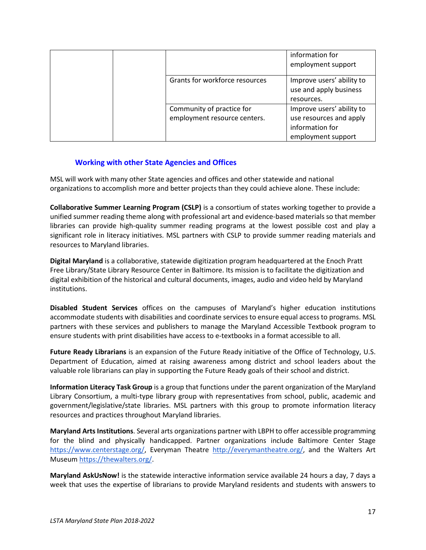|  |                                                           | information for<br>employment support                                                         |
|--|-----------------------------------------------------------|-----------------------------------------------------------------------------------------------|
|  | Grants for workforce resources                            | Improve users' ability to<br>use and apply business<br>resources.                             |
|  | Community of practice for<br>employment resource centers. | Improve users' ability to<br>use resources and apply<br>information for<br>employment support |

## **Working with other State Agencies and Offices**

MSL will work with many other State agencies and offices and other statewide and national organizations to accomplish more and better projects than they could achieve alone. These include:

**Collaborative Summer Learning Program (CSLP)** is a consortium of states working together to provide a unified summer reading theme along with professional art and evidence-based materials so that member libraries can provide high-quality summer reading programs at the lowest possible cost and play a significant role in literacy initiatives. MSL partners with CSLP to provide summer reading materials and resources to Maryland libraries.

**Digital Maryland** is a collaborative, statewide digitization program headquartered at the Enoch Pratt Free Library/State Library Resource Center in Baltimore. Its mission is to facilitate the digitization and digital exhibition of the historical and cultural documents, images, audio and video held by Maryland institutions.

**Disabled Student Services** offices on the campuses of Maryland's higher education institutions accommodate students with disabilities and coordinate services to ensure equal access to programs. MSL partners with these services and publishers to manage the Maryland Accessible Textbook program to ensure students with print disabilities have access to e-textbooks in a format accessible to all.

**Future Ready Librarians** is an expansion of the Future Ready initiative of the Office of Technology, U.S. Department of Education, aimed at raising awareness among district and school leaders about the valuable role librarians can play in supporting the Future Ready goals of their school and district.

**Information Literacy Task Group** is a group that functions under the parent organization of the Maryland Library Consortium, a multi-type library group with representatives from school, public, academic and government/legislative/state libraries. MSL partners with this group to promote information literacy resources and practices throughout Maryland libraries.

**Maryland Arts Institutions**. Several arts organizations partner with LBPH to offer accessible programming for the blind and physically handicapped. Partner organizations include Baltimore Center Stage [https://www.centerstage.org/,](https://www.centerstage.org/) Everyman Theatre [http://everymantheatre.org/,](http://everymantheatre.org/) and the Walters Art Museum [https://thewalters.org/.](https://thewalters.org/)

**Maryland AskUsNow!** is the statewide interactive information service available 24 hours a day, 7 days a week that uses the expertise of librarians to provide Maryland residents and students with answers to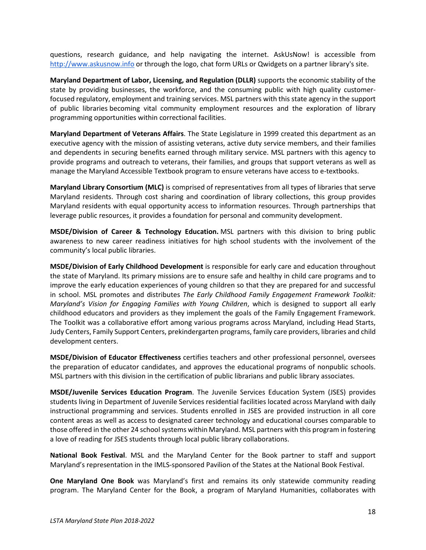questions, research guidance, and help navigating the internet. AskUsNow! is accessible from [http://www.askusnow.info](http://www.askusnow.info/) or through the logo, chat form URLs or Qwidgets on a partner library's site.

**Maryland Department of Labor, Licensing, and Regulation (DLLR)** supports the economic stability of the state by providing businesses, the workforce, and the consuming public with high quality customerfocused regulatory, employment and training services. MSL partners with this state agency in the support of public libraries becoming vital community employment resources and the exploration of library programming opportunities within correctional facilities.

**Maryland Department of Veterans Affairs**. The State Legislature in 1999 created this department as an executive agency with the mission of assisting veterans, active duty service members, and their families and dependents in securing benefits earned through military service. MSL partners with this agency to provide programs and outreach to veterans, their families, and groups that support veterans as well as manage the Maryland Accessible Textbook program to ensure veterans have access to e-textbooks.

**Maryland Library Consortium (MLC)** is comprised of representatives from all types of libraries that serve Maryland residents. Through cost sharing and coordination of library collections, this group provides Maryland residents with equal opportunity access to information resources. Through partnerships that leverage public resources, it provides a foundation for personal and community development.

**MSDE/Division of Career & Technology Education.** MSL partners with this division to bring public awareness to new career readiness initiatives for high school students with the involvement of the community's local public libraries.

**MSDE/Division of Early Childhood Development** is responsible for early care and education throughout the state of Maryland. Its primary missions are to ensure safe and healthy in child care programs and to improve the early education experiences of young children so that they are prepared for and successful in school. MSL promotes and distributes *The Early Childhood Family Engagement Framework Toolkit: Maryland's Vision for Engaging Families with Young Children*, which is designed to support all early childhood educators and providers as they implement the goals of the Family Engagement Framework. The Toolkit was a collaborative effort among various programs across Maryland, including Head Starts, Judy Centers, Family Support Centers, prekindergarten programs, family care providers, libraries and child development centers.

**MSDE/Division of Educator Effectiveness** certifies teachers and other professional personnel, oversees the preparation of educator candidates, and approves the educational programs of nonpublic schools. MSL partners with this division in the certification of public librarians and public library associates.

**MSDE/Juvenile Services Education Program**. The Juvenile Services Education System (JSES) provides students living in Department of Juvenile Services residential facilities located across Maryland with daily instructional programming and services. Students enrolled in JSES are provided instruction in all core content areas as well as access to designated career technology and educational courses comparable to those offered in the other 24 school systems within Maryland. MSL partners with this program in fostering a love of reading for JSES students through local public library collaborations.

**National Book Festival**. MSL and the Maryland Center for the Book partner to staff and support Maryland's representation in the IMLS-sponsored Pavilion of the States at the National Book Festival.

**One Maryland One Book** was Maryland's first and remains its only statewide community reading program. The Maryland Center for the Book, a program of Maryland Humanities, collaborates with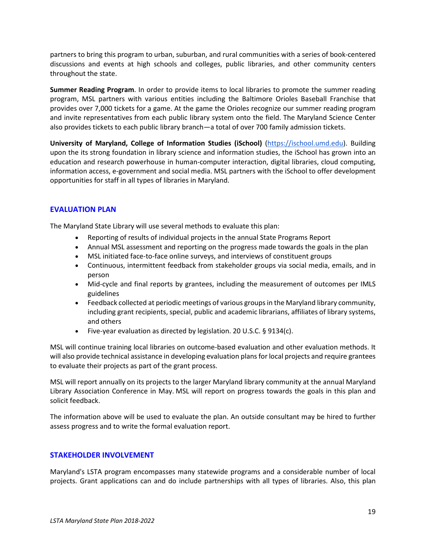partners to bring this program to urban, suburban, and rural communities with a series of book-centered discussions and events at high schools and colleges, public libraries, and other community centers throughout the state.

**Summer Reading Program**. In order to provide items to local libraries to promote the summer reading program, MSL partners with various entities including the Baltimore Orioles Baseball Franchise that provides over 7,000 tickets for a game. At the game the Orioles recognize our summer reading program and invite representatives from each public library system onto the field. The Maryland Science Center also provides tickets to each public library branch—a total of over 700 family admission tickets.

**University of Maryland, College of Information Studies (iSchool)** [\(https://ischool.umd.edu\)](https://ischool.umd.edu/). Building upon the its strong foundation in library science and information studies, the iSchool has grown into an education and research powerhouse in human-computer interaction, digital libraries, cloud computing, information access, e-government and social media. MSL partners with the iSchool to offer development opportunities for staff in all types of libraries in Maryland.

## **EVALUATION PLAN**

The Maryland State Library will use several methods to evaluate this plan:

- Reporting of results of individual projects in the annual State Programs Report
- Annual MSL assessment and reporting on the progress made towards the goals in the plan
- MSL initiated face-to-face online surveys, and interviews of constituent groups
- Continuous, intermittent feedback from stakeholder groups via social media, emails, and in person
- Mid-cycle and final reports by grantees, including the measurement of outcomes per IMLS guidelines
- Feedback collected at periodic meetings of various groups in the Maryland library community, including grant recipients, special, public and academic librarians, affiliates of library systems, and others
- Five-year evaluation as directed by legislation. 20 U.S.C. § 9134(c).

MSL will continue training local libraries on outcome-based evaluation and other evaluation methods. It will also provide technical assistance in developing evaluation plans for local projects and require grantees to evaluate their projects as part of the grant process.

MSL will report annually on its projects to the larger Maryland library community at the annual Maryland Library Association Conference in May. MSL will report on progress towards the goals in this plan and solicit feedback.

The information above will be used to evaluate the plan. An outside consultant may be hired to further assess progress and to write the formal evaluation report.

## **STAKEHOLDER INVOLVEMENT**

Maryland's LSTA program encompasses many statewide programs and a considerable number of local projects. Grant applications can and do include partnerships with all types of libraries. Also, this plan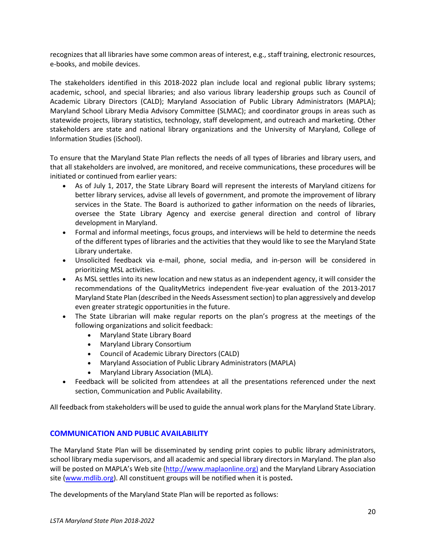recognizes that all libraries have some common areas of interest, e.g., staff training, electronic resources, e-books, and mobile devices.

The stakeholders identified in this 2018-2022 plan include local and regional public library systems; academic, school, and special libraries; and also various library leadership groups such as Council of Academic Library Directors (CALD); Maryland Association of Public Library Administrators (MAPLA); Maryland School Library Media Advisory Committee (SLMAC); and coordinator groups in areas such as statewide projects, library statistics, technology, staff development, and outreach and marketing. Other stakeholders are state and national library organizations and the University of Maryland, College of Information Studies (iSchool).

To ensure that the Maryland State Plan reflects the needs of all types of libraries and library users, and that all stakeholders are involved, are monitored, and receive communications, these procedures will be initiated or continued from earlier years:

- As of July 1, 2017, the State Library Board will represent the interests of Maryland citizens for better library services, advise all levels of government, and promote the improvement of library services in the State. The Board is authorized to gather information on the needs of libraries, oversee the State Library Agency and exercise general direction and control of library development in Maryland.
- Formal and informal meetings, focus groups, and interviews will be held to determine the needs of the different types of libraries and the activities that they would like to see the Maryland State Library undertake.
- Unsolicited feedback via e-mail, phone, social media, and in-person will be considered in prioritizing MSL activities.
- As MSL settles into its new location and new status as an independent agency, it will consider the recommendations of the QualityMetrics independent five-year evaluation of the 2013-2017 Maryland State Plan (described in the Needs Assessment section) to plan aggressively and develop even greater strategic opportunities in the future.
- The State Librarian will make regular reports on the plan's progress at the meetings of the following organizations and solicit feedback:
	- Maryland State Library Board
	- Maryland Library Consortium
	- Council of Academic Library Directors (CALD)
	- Maryland Association of Public Library Administrators (MAPLA)
	- Maryland Library Association (MLA).
- Feedback will be solicited from attendees at all the presentations referenced under the next section, Communication and Public Availability.

All feedback from stakeholders will be used to guide the annual work plans for the Maryland State Library.

## **COMMUNICATION AND PUBLIC AVAILABILITY**

The Maryland State Plan will be disseminated by sending print copies to public library administrators, school library media supervisors, and all academic and special library directors in Maryland. The plan also will be posted on MAPLA's Web site [\(http://www.maplaonline.org\)](http://www.maplaonline.org/) and the Maryland Library Association site [\(www.mdlib.org\)](http://www.mdlib.org/). All constituent groups will be notified when it is posted**.**

The developments of the Maryland State Plan will be reported as follows: